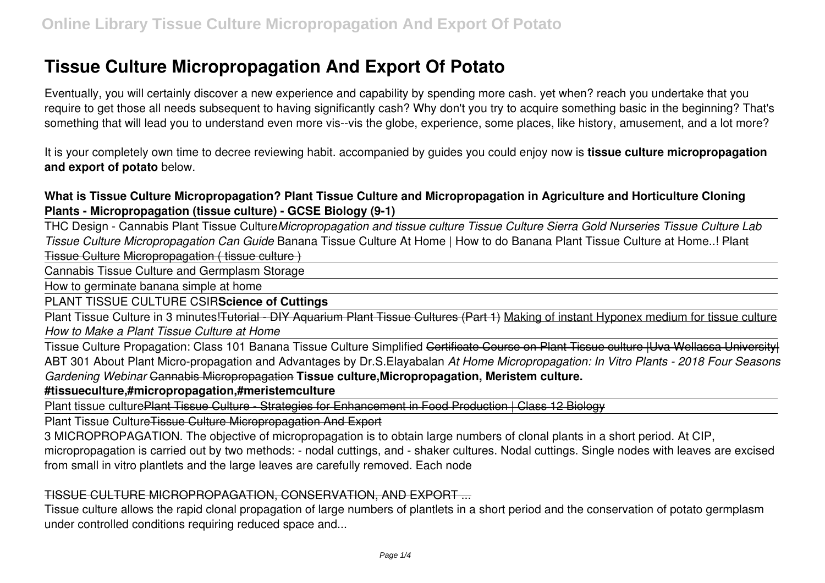# **Tissue Culture Micropropagation And Export Of Potato**

Eventually, you will certainly discover a new experience and capability by spending more cash. yet when? reach you undertake that you require to get those all needs subsequent to having significantly cash? Why don't you try to acquire something basic in the beginning? That's something that will lead you to understand even more vis--vis the globe, experience, some places, like history, amusement, and a lot more?

It is your completely own time to decree reviewing habit. accompanied by guides you could enjoy now is **tissue culture micropropagation and export of potato** below.

# **What is Tissue Culture Micropropagation? Plant Tissue Culture and Micropropagation in Agriculture and Horticulture Cloning Plants - Micropropagation (tissue culture) - GCSE Biology (9-1)**

THC Design - Cannabis Plant Tissue Culture*Micropropagation and tissue culture Tissue Culture Sierra Gold Nurseries Tissue Culture Lab Tissue Culture Micropropagation Can Guide* Banana Tissue Culture At Home | How to do Banana Plant Tissue Culture at Home..! Plant Tissue Culture Micropropagation ( tissue culture )

Cannabis Tissue Culture and Germplasm Storage

How to germinate banana simple at home

PLANT TISSUE CULTURE CSIR**Science of Cuttings**

Plant Tissue Culture in 3 minutes! Tutorial - DIY Aquarium Plant Tissue Cultures (Part 1) Making of instant Hyponex medium for tissue culture *How to Make a Plant Tissue Culture at Home*

Tissue Culture Propagation: Class 101 Banana Tissue Culture Simplified Certificate Course on Plant Tissue culture IUva Wellassa Universityl ABT 301 About Plant Micro-propagation and Advantages by Dr.S.Elayabalan *At Home Micropropagation: In Vitro Plants - 2018 Four Seasons Gardening Webinar* Cannabis Micropropagation **Tissue culture,Micropropagation, Meristem culture.**

**#tissueculture,#micropropagation,#meristemculture**

Plant tissue culturePlant Tissue Culture - Strategies for Enhancement in Food Production | Class 12 Biology

Plant Tissue Culture Tissue Culture Micropropagation And Export

3 MICROPROPAGATION. The objective of micropropagation is to obtain large numbers of clonal plants in a short period. At CIP,

micropropagation is carried out by two methods: - nodal cuttings, and - shaker cultures. Nodal cuttings. Single nodes with leaves are excised from small in vitro plantlets and the large leaves are carefully removed. Each node

## TISSUE CULTURE MICROPROPAGATION, CONSERVATION, AND EXPORT ...

Tissue culture allows the rapid clonal propagation of large numbers of plantlets in a short period and the conservation of potato germplasm under controlled conditions requiring reduced space and...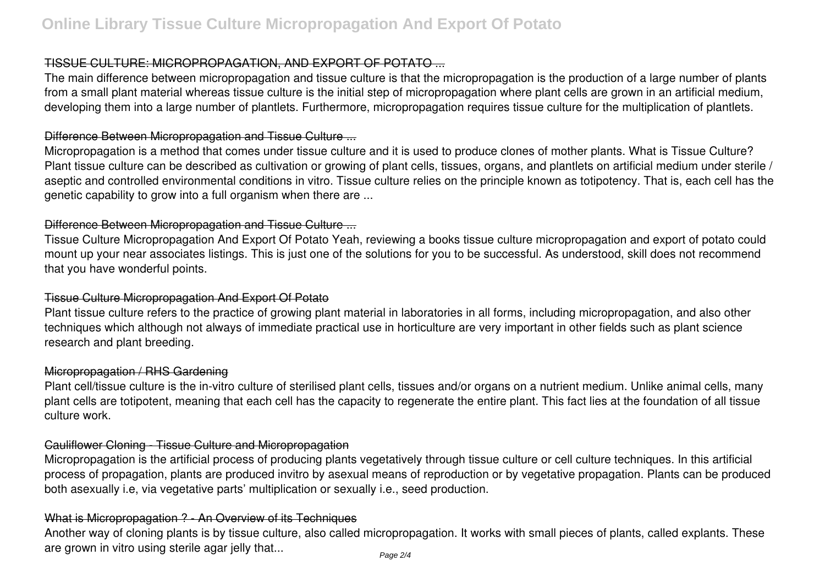## TISSUE CULTURE: MICROPROPAGATION, AND EXPORT OF POTATO ...

The main difference between micropropagation and tissue culture is that the micropropagation is the production of a large number of plants from a small plant material whereas tissue culture is the initial step of micropropagation where plant cells are grown in an artificial medium, developing them into a large number of plantlets. Furthermore, micropropagation requires tissue culture for the multiplication of plantlets.

#### Difference Between Micropropagation and Tissue Culture ...

Micropropagation is a method that comes under tissue culture and it is used to produce clones of mother plants. What is Tissue Culture? Plant tissue culture can be described as cultivation or growing of plant cells, tissues, organs, and plantlets on artificial medium under sterile / aseptic and controlled environmental conditions in vitro. Tissue culture relies on the principle known as totipotency. That is, each cell has the genetic capability to grow into a full organism when there are ...

## Difference Between Micropropagation and Tissue Culture ...

Tissue Culture Micropropagation And Export Of Potato Yeah, reviewing a books tissue culture micropropagation and export of potato could mount up your near associates listings. This is just one of the solutions for you to be successful. As understood, skill does not recommend that you have wonderful points.

## Tissue Culture Micropropagation And Export Of Potato

Plant tissue culture refers to the practice of growing plant material in laboratories in all forms, including micropropagation, and also other techniques which although not always of immediate practical use in horticulture are very important in other fields such as plant science research and plant breeding.

#### Micropropagation / RHS Gardening

Plant cell/tissue culture is the in-vitro culture of sterilised plant cells, tissues and/or organs on a nutrient medium. Unlike animal cells, many plant cells are totipotent, meaning that each cell has the capacity to regenerate the entire plant. This fact lies at the foundation of all tissue culture work.

## Cauliflower Cloning - Tissue Culture and Micropropagation

Micropropagation is the artificial process of producing plants vegetatively through tissue culture or cell culture techniques. In this artificial process of propagation, plants are produced invitro by asexual means of reproduction or by vegetative propagation. Plants can be produced both asexually i.e, via vegetative parts' multiplication or sexually i.e., seed production.

## What is Micropropagation ? - An Overview of its Techniques

Another way of cloning plants is by tissue culture, also called micropropagation. It works with small pieces of plants, called explants. These are grown in vitro using sterile agar jelly that...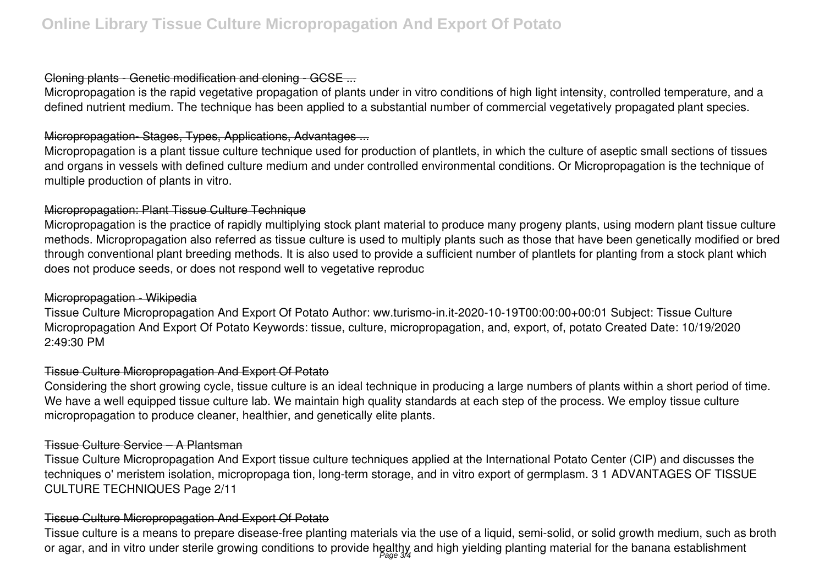## Cloning plants - Genetic modification and cloning - GCSE ...

Micropropagation is the rapid vegetative propagation of plants under in vitro conditions of high light intensity, controlled temperature, and a defined nutrient medium. The technique has been applied to a substantial number of commercial vegetatively propagated plant species.

## Micropropagation- Stages, Types, Applications, Advantages ...

Micropropagation is a plant tissue culture technique used for production of plantlets, in which the culture of aseptic small sections of tissues and organs in vessels with defined culture medium and under controlled environmental conditions. Or Micropropagation is the technique of multiple production of plants in vitro.

## Micropropagation: Plant Tissue Culture Technique

Micropropagation is the practice of rapidly multiplying stock plant material to produce many progeny plants, using modern plant tissue culture methods. Micropropagation also referred as tissue culture is used to multiply plants such as those that have been genetically modified or bred through conventional plant breeding methods. It is also used to provide a sufficient number of plantlets for planting from a stock plant which does not produce seeds, or does not respond well to vegetative reproduc

## Micropropagation - Wikipedia

Tissue Culture Micropropagation And Export Of Potato Author: ww.turismo-in.it-2020-10-19T00:00:00+00:01 Subject: Tissue Culture Micropropagation And Export Of Potato Keywords: tissue, culture, micropropagation, and, export, of, potato Created Date: 10/19/2020 2:49:30 PM

## Tissue Culture Micropropagation And Export Of Potato

Considering the short growing cycle, tissue culture is an ideal technique in producing a large numbers of plants within a short period of time. We have a well equipped tissue culture lab. We maintain high quality standards at each step of the process. We employ tissue culture micropropagation to produce cleaner, healthier, and genetically elite plants.

## Tissue Culture Service – A Plantsman

Tissue Culture Micropropagation And Export tissue culture techniques applied at the International Potato Center (CIP) and discusses the techniques o' meristem isolation, micropropaga tion, long-term storage, and in vitro export of germplasm. 3 1 ADVANTAGES OF TISSUE CULTURE TECHNIQUES Page 2/11

## Tissue Culture Micropropagation And Export Of Potato

Tissue culture is a means to prepare disease-free planting materials via the use of a liquid, semi-solid, or solid growth medium, such as broth or agar, and in vitro under sterile growing conditions to provide healthy and high yielding planting material for the banana establishment